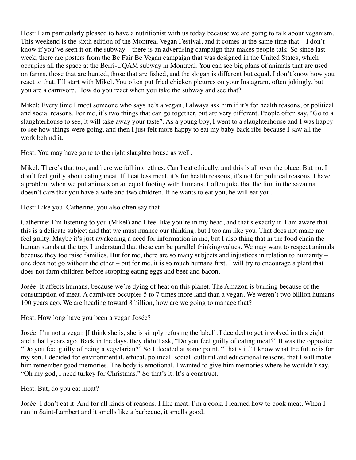Host: I am particularly pleased to have a nutritionist with us today because we are going to talk about veganism. This weekend is the sixth edition of the Montreal Vegan Festival, and it comes at the same time that – I don't know if you've seen it on the subway – there is an advertising campaign that makes people talk. So since last week, there are posters from the Be Fair Be Vegan campaign that was designed in the United States, which occupies all the space at the Berri-UQAM subway in Montreal. You can see big plans of animals that are used on farms, those that are hunted, those that are fished, and the slogan is different but equal. I don't know how you react to that. I'll start with Mikel. You often put fried chicken pictures on your Instagram, often jokingly, but you are a carnivore. How do you react when you take the subway and see that?

Mikel: Every time I meet someone who says he's a vegan, I always ask him if it's for health reasons, or political and social reasons. For me, it's two things that can go together, but are very different. People often say, "Go to a slaughterhouse to see, it will take away your taste". As a young boy, I went to a slaughterhouse and I was happy to see how things were going, and then I just felt more happy to eat my baby back ribs because I saw all the work behind it.

Host: You may have gone to the right slaughterhouse as well.

Mikel: There's that too, and here we fall into ethics. Can I eat ethically, and this is all over the place. But no, I don't feel guilty about eating meat. If I eat less meat, it's for health reasons, it's not for political reasons. I have a problem when we put animals on an equal footing with humans. I often joke that the lion in the savanna doesn't care that you have a wife and two children. If he wants to eat you, he will eat you.

Host: Like you, Catherine, you also often say that.

Catherine: I'm listening to you (Mikel) and I feel like you're in my head, and that's exactly it. I am aware that this is a delicate subject and that we must nuance our thinking, but I too am like you. That does not make me feel guilty. Maybe it's just awakening a need for information in me, but I also thing that in the food chain the human stands at the top. I understand that these can be parallel thinking/values. We may want to respect animals because they too raise families. But for me, there are so many subjects and injustices in relation to humanity – one does not go without the other – but for me, it is so much humans first. I will try to encourage a plant that does not farm children before stopping eating eggs and beef and bacon.

Josée: It affects humans, because we're dying of heat on this planet. The Amazon is burning because of the consumption of meat. A carnivore occupies 5 to 7 times more land than a vegan. We weren't two billion humans 100 years ago. We are heading toward 8 billion, how are we going to manage that?

Host: How long have you been a vegan Josée?

Josée: I'm not a vegan [I think she is, she is simply refusing the label]. I decided to get involved in this eight and a half years ago. Back in the days, they didn't ask, "Do you feel guilty of eating meat?" It was the opposite: "Do you feel guilty of being a vegetarian?" So I decided at some point, "That's it." I know what the future is for my son. I decided for environmental, ethical, political, social, cultural and educational reasons, that I will make him remember good memories. The body is emotional. I wanted to give him memories where he wouldn't say, "Oh my god, I need turkey for Christmas." So that's it. It's a construct.

Host: But, do you eat meat?

Josée: I don't eat it. And for all kinds of reasons. I like meat. I'm a cook. I learned how to cook meat. When I run in Saint-Lambert and it smells like a barbecue, it smells good.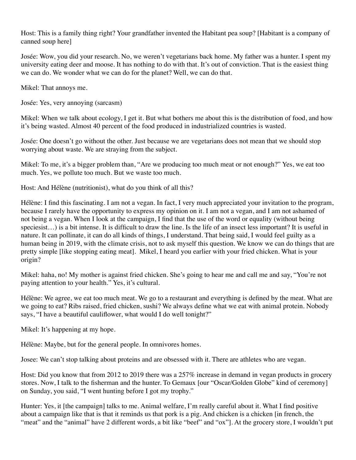Host: This is a family thing right? Your grandfather invented the Habitant pea soup? [Habitant is a company of canned soup here]

Josée: Wow, you did your research. No, we weren't vegetarians back home. My father was a hunter. I spent my university eating deer and moose. It has nothing to do with that. It's out of conviction. That is the easiest thing we can do. We wonder what we can do for the planet? Well, we can do that.

Mikel: That annoys me.

Josée: Yes, very annoying (sarcasm)

Mikel: When we talk about ecology, I get it. But what bothers me about this is the distribution of food, and how it's being wasted. Almost 40 percent of the food produced in industrialized countries is wasted.

Josée: One doesn't go without the other. Just because we are vegetarians does not mean that we should stop worrying about waste. We are straying from the subject.

Mikel: To me, it's a bigger problem than, "Are we producing too much meat or not enough?" Yes, we eat too much. Yes, we pollute too much. But we waste too much.

Host: And Hélène (nutritionist), what do you think of all this?

Hélène: I find this fascinating. I am not a vegan. In fact, I very much appreciated your invitation to the program, because I rarely have the opportunity to express my opinion on it. I am not a vegan, and I am not ashamed of not being a vegan. When I look at the campaign, I find that the use of the word or equality (without being speciesist...) is a bit intense. It is difficult to draw the line. Is the life of an insect less important? It is useful in nature. It can pollinate, it can do all kinds of things, I understand. That being said, I would feel guilty as a human being in 2019, with the climate crisis, not to ask myself this question. We know we can do things that are pretty simple [like stopping eating meat]. Mikel, I heard you earlier with your fried chicken. What is your origin?

Mikel: haha, no! My mother is against fried chicken. She's going to hear me and call me and say, "You're not paying attention to your health." Yes, it's cultural.

Hélène: We agree, we eat too much meat. We go to a restaurant and everything is defined by the meat. What are we going to eat? Ribs raised, fried chicken, sushi? We always define what we eat with animal protein. Nobody says, "I have a beautiful cauliflower, what would I do well tonight?"

Mikel: It's happening at my hope.

Hélène: Maybe, but for the general people. In omnivores homes.

Josee: We can't stop talking about proteins and are obsessed with it. There are athletes who are vegan.

Host: Did you know that from 2012 to 2019 there was a 257% increase in demand in vegan products in grocery stores. Now, I talk to the fisherman and the hunter. To Gemaux [our "Oscar/Golden Globe" kind of ceremony] on Sunday, you said, "I went hunting before I got my trophy."

Hunter: Yes, it [the campaign] talks to me. Animal welfare, I'm really careful about it. What I find positive about a campaign like that is that it reminds us that pork is a pig. And chicken is a chicken [in french, the "meat" and the "animal" have 2 different words, a bit like "beef" and "ox"]. At the grocery store, I wouldn't put